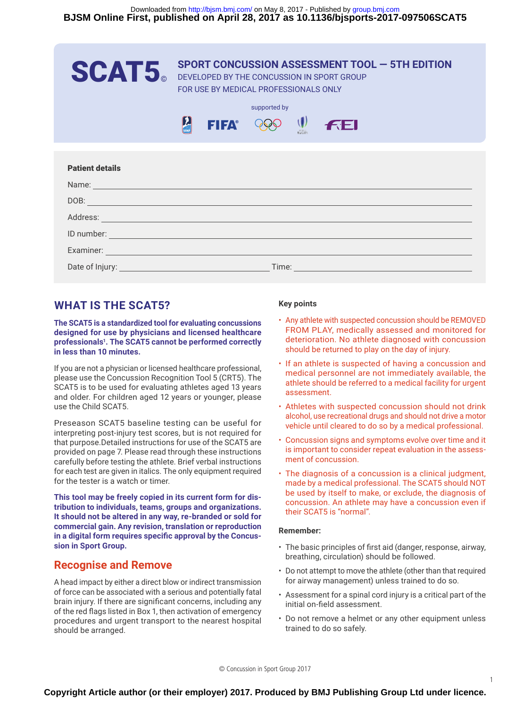**BJSM Online First, published on April 28, 2017 as 10.1136/bjsports-2017-097506SCAT5** Downloaded from<http://bjsm.bmj.com/>on May 8, 2017 - Published by [group.bmj.com](http://group.bmj.com)

| <b>SCAT5</b>                                                                                                                                                                                                                  |          | SPORT CONCUSSION ASSESSMENT TOOL - 5TH EDITION<br>DEVELOPED BY THE CONCUSSION IN SPORT GROUP<br>FOR USE BY MEDICAL PROFESSIONALS ONLY |              |              |                                                                                                                                                                                                                                      |  |  |  |  |
|-------------------------------------------------------------------------------------------------------------------------------------------------------------------------------------------------------------------------------|----------|---------------------------------------------------------------------------------------------------------------------------------------|--------------|--------------|--------------------------------------------------------------------------------------------------------------------------------------------------------------------------------------------------------------------------------------|--|--|--|--|
|                                                                                                                                                                                                                               |          |                                                                                                                                       | supported by |              |                                                                                                                                                                                                                                      |  |  |  |  |
|                                                                                                                                                                                                                               | $\bf{E}$ | <b>FIFA®</b>                                                                                                                          |              | $\mathbf{U}$ | F <sub>E</sub>                                                                                                                                                                                                                       |  |  |  |  |
|                                                                                                                                                                                                                               |          |                                                                                                                                       |              |              |                                                                                                                                                                                                                                      |  |  |  |  |
| <b>Patient details</b>                                                                                                                                                                                                        |          |                                                                                                                                       |              |              |                                                                                                                                                                                                                                      |  |  |  |  |
| Name: Name: Name: Name: Name: Name: Name: Name: Name: Name: Name: Name: Name: Name: Name: Name: Name: Name: Name: Name: Name: Name: Name: Name: Name: Name: Name: Name: Name: Name: Name: Name: Name: Name: Name: Name: Name: |          |                                                                                                                                       |              |              |                                                                                                                                                                                                                                      |  |  |  |  |
| DOB: with the contract of the contract of the contract of the contract of the contract of the contract of the contract of the contract of the contract of the contract of the contract of the contract of the contract of the |          |                                                                                                                                       |              |              |                                                                                                                                                                                                                                      |  |  |  |  |
|                                                                                                                                                                                                                               |          |                                                                                                                                       |              |              |                                                                                                                                                                                                                                      |  |  |  |  |
|                                                                                                                                                                                                                               |          |                                                                                                                                       |              |              | ID number: <u>with the contract of the contract of the contract of the contract of the contract of the contract of the contract of the contract of the contract of the contract of the contract of the contract of the contract </u> |  |  |  |  |
| Examiner: Examiner:                                                                                                                                                                                                           |          |                                                                                                                                       |              |              |                                                                                                                                                                                                                                      |  |  |  |  |
| Date of Injury: Date of Injury:                                                                                                                                                                                               |          |                                                                                                                                       |              |              | Time: with the contract of the contract of the contract of the contract of the contract of the contract of the                                                                                                                       |  |  |  |  |

# **WHAT IS THE SCAT5?**

**The SCAT5 is a standardized tool for evaluating concussions designed for use by physicians and licensed healthcare professionals1 . The SCAT5 cannot be performed correctly in less than 10 minutes.**

If you are not a physician or licensed healthcare professional, please use the Concussion Recognition Tool 5 (CRT5). The SCAT5 is to be used for evaluating athletes aged 13 years and older. For children aged 12 years or younger, please use the Child SCAT5.

Preseason SCAT5 baseline testing can be useful for interpreting post-injury test scores, but is not required for that purpose.Detailed instructions for use of the SCAT5 are provided on page 7. Please read through these instructions carefully before testing the athlete. Brief verbal instructions for each test are given in italics. The only equipment required for the tester is a watch or timer.

**This tool may be freely copied in its current form for distribution to individuals, teams, groups and organizations. It should not be altered in any way, re-branded or sold for commercial gain. Any revision, translation or reproduction in a digital form requires specific approval by the Concussion in Sport Group.**

# **Recognise and Remove**

A head impact by either a direct blow or indirect transmission of force can be associated with a serious and potentially fatal brain injury. If there are significant concerns, including any of the red flags listed in Box 1, then activation of emergency procedures and urgent transport to the nearest hospital should be arranged.

## **Key points**

- Any athlete with suspected concussion should be REMOVED FROM PLAY, medically assessed and monitored for deterioration. No athlete diagnosed with concussion should be returned to play on the day of injury.
- If an athlete is suspected of having a concussion and medical personnel are not immediately available, the athlete should be referred to a medical facility for urgent assessment.
- Athletes with suspected concussion should not drink alcohol, use recreational drugs and should not drive a motor vehicle until cleared to do so by a medical professional.
- Concussion signs and symptoms evolve over time and it is important to consider repeat evaluation in the assessment of concussion.
- The diagnosis of a concussion is a clinical judgment, made by a medical professional. The SCAT5 should NOT be used by itself to make, or exclude, the diagnosis of concussion. An athlete may have a concussion even if their SCAT5 is "normal".

## **Remember:**

- The basic principles of first aid (danger, response, airway, breathing, circulation) should be followed.
- Do not attempt to move the athlete (other than that required for airway management) unless trained to do so.
- Assessment for a spinal cord injury is a critical part of the initial on-field assessment.
- Do not remove a helmet or any other equipment unless trained to do so safely.

1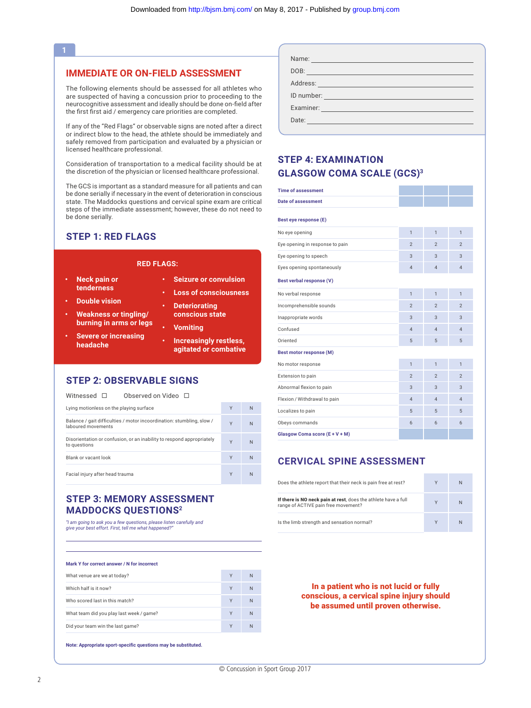## **IMMEDIATE OR ON-FIELD ASSESSMENT**

The following elements should be assessed for all athletes who are suspected of having a concussion prior to proceeding to the neurocognitive assessment and ideally should be done on-field after the first first aid / emergency care priorities are completed.

If any of the "Red Flags" or observable signs are noted after a direct or indirect blow to the head, the athlete should be immediately and safely removed from participation and evaluated by a physician or licensed healthcare professional.

Consideration of transportation to a medical facility should be at the discretion of the physician or licensed healthcare professional.

The GCS is important as a standard measure for all patients and can be done serially if necessary in the event of deterioration in conscious state. The Maddocks questions and cervical spine exam are critical steps of the immediate assessment; however, these do not need to be done serially.

# **STEP 1: RED FLAGS**

## **RED FLAGS:**

- **Neck pain or tenderness**
- **Double vision**
- **Weakness or tingling/ burning in arms or legs**
- **Severe or increasing headache**
- **Loss of consciousness**

**• Seizure or convulsion** 

- **Deteriorating conscious state**
	- **Vomiting**
- **Increasingly restless, agitated or combative**

## **STEP 2: OBSERVABLE SIGNS**

| Observed on Video $\Box$<br>Witnessed $\square$                                             |   |   |
|---------------------------------------------------------------------------------------------|---|---|
| Lying motionless on the playing surface                                                     | Y | N |
| Balance / gait difficulties / motor incoordination: stumbling, slow /<br>laboured movements | Y | N |
| Disorientation or confusion, or an inability to respond appropriately<br>to questions       | Y | N |
| Blank or vacant look                                                                        | Y | N |
| Facial injury after head trauma                                                             | Y | N |

# **STEP 3: MEMORY ASSESSMENT MADDOCKS QUESTIONS2**

*"I am going to ask you a few questions, please listen carefully and give your best effort. First, tell me what happened?"*

#### **Mark Y for correct answer / N for incorrect**

| What venue are we at today?              | Y      | N |
|------------------------------------------|--------|---|
| Which half is it now?                    | Y      | N |
| Who scored last in this match?           | Y      | N |
| What team did you play last week / game? | Y      | N |
| Did your team win the last game?         | $\vee$ | N |

**Note: Appropriate sport-specific questions may be substituted.**

| Name:<br><u> 1989 - Johann Barn, mars eta bainar eta hiri (h. 1989).</u>                                                                                                                                                       |
|--------------------------------------------------------------------------------------------------------------------------------------------------------------------------------------------------------------------------------|
| DOB:                                                                                                                                                                                                                           |
| Address: No. 1996. The Committee of the Committee of the Committee of the Committee of the Committee of the Committee of the Committee of the Committee of the Committee of the Committee of the Committee of the Committee of |
| ID number:<br><u> 1999 - Johann Barnett, mars et al. 1999 - Anna ann an t-Anna ann an t-Anna ann an t-Anna ann an t-Anna ann an</u>                                                                                            |
| Examiner:                                                                                                                                                                                                                      |
| Date:                                                                                                                                                                                                                          |

# **STEP 4: EXAMINATION GLASGOW COMA SCALE (GCS)3**

| <b>Time of assessment</b>       |                |                |                |
|---------------------------------|----------------|----------------|----------------|
| Date of assessment              |                |                |                |
| Best eye response (E)           |                |                |                |
| No eye opening                  | $\mathbf{1}$   | $\mathbf{1}$   | $\mathbf{1}$   |
| Eye opening in response to pain | $\overline{2}$ | $\overline{2}$ | $\mathfrak{p}$ |
| Eye opening to speech           | 3              | 3              | 3              |
| Eyes opening spontaneously      | $\overline{4}$ | $\overline{4}$ | $\overline{4}$ |
| Best verbal response (V)        |                |                |                |
| No verbal response              | $\mathbf{1}$   | $\mathbf{1}$   | $\mathbf{1}$   |
| Incomprehensible sounds         | $\mathfrak{p}$ | $\overline{2}$ | $\overline{2}$ |
| Inappropriate words             | 3              | 3              | 3              |
| Confused                        | 4              | $\overline{4}$ | $\overline{4}$ |
| Oriented                        | 5              | 5              | 5              |
| <b>Best motor response (M)</b>  |                |                |                |
| No motor response               | $\mathbf{1}$   | $\mathbf{1}$   | $\mathbf{1}$   |
| Extension to pain               | $\overline{2}$ | $\mathfrak{D}$ | $\mathfrak{p}$ |
| Abnormal flexion to pain        | 3              | 3              | 3              |
| Flexion / Withdrawal to pain    | $\overline{4}$ | $\overline{4}$ | $\overline{4}$ |
| Localizes to pain               | 5              | 5              | 5              |
| Obeys commands                  | 6              | 6              | 6              |
| Glasgow Coma score (E + V + M)  |                |                |                |

# **CERVICAL SPINE ASSESSMENT**

| Does the athlete report that their neck is pain free at rest?                                         |   | N |
|-------------------------------------------------------------------------------------------------------|---|---|
| If there is NO neck pain at rest, does the athlete have a full<br>range of ACTIVE pain free movement? | V | N |
| Is the limb strength and sensation normal?                                                            |   | N |

## In a patient who is not lucid or fully conscious, a cervical spine injury should be assumed until proven otherwise.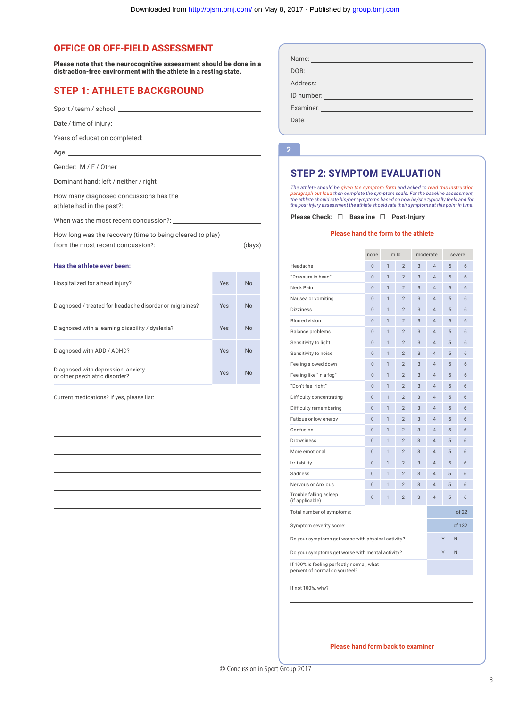# **OFFICE OR OFF-FIELD ASSESSMENT**

Please note that the neurocognitive assessment should be done in a distraction-free environment with the athlete in a resting state.

# **STEP 1: ATHLETE BACKGROUND**

Sport / team / school:

Date / time of injury: \_

Years of education completed:

Age:

Gender: M / F / Other

Dominant hand: left / neither / right

How many diagnosed concussions has the

athlete had in the past?:

When was the most recent concussion?: \_\_

How long was the recovery (time to being cleared to play)

from the most recent concussion?: (days)

## **Has the athlete ever been:**

| Hospitalized for a head injury?                                      | Yes | <b>No</b> |
|----------------------------------------------------------------------|-----|-----------|
| Diagnosed / treated for headache disorder or migraines?              | Yes | <b>No</b> |
| Diagnosed with a learning disability / dyslexia?                     | Yes | <b>No</b> |
| Diagnosed with ADD / ADHD?                                           | Yes | <b>No</b> |
| Diagnosed with depression, anxiety<br>or other psychiatric disorder? | Yes | <b>No</b> |

Current medications? If yes, please list:

| Name:<br><u> 1989 - Johann Harry Barn, mars ar breithinn ar breithinn ar breithinn ar breithinn ar breithinn ar breithinn a</u> |  |
|---------------------------------------------------------------------------------------------------------------------------------|--|
| DOB:                                                                                                                            |  |
| Address:<br>the control of the control of the control of the control of the control of                                          |  |
| ID number:<br><u> 1989 - Johann Barn, mars et al. (b. 1989)</u>                                                                 |  |
| Examiner:                                                                                                                       |  |
| Date:                                                                                                                           |  |

## **STEP 2: SYMPTOM EVALUATION**

The athlete should be given the symptom form and asked to read this instruction<br>paragraph out loud then complete the symptom scale. For the baseline assessment, *the athlete should rate his/her symptoms based on how he/she typically feels and for the post injury assessment the athlete should rate their symptoms at this point in time.* 

**Please Check:** □ Baseline □ Post-Injury

## **Please hand the form to the athlete**

|                                                                             | none           | mild<br>moderate |                          | severe |                |   |                 |
|-----------------------------------------------------------------------------|----------------|------------------|--------------------------|--------|----------------|---|-----------------|
| Headache                                                                    | $\Omega$       | $\mathbf{1}$     | $\overline{2}$           | 3      | $\overline{4}$ | 5 | 6               |
| "Pressure in head"                                                          | $\overline{0}$ | $\overline{1}$   | $\overline{2}$           | 3      | $\overline{4}$ | 5 | 6               |
| Neck Pain                                                                   | $\overline{0}$ | 1                | $\overline{2}$           | 3      | $\overline{4}$ | 5 | 6               |
| Nausea or vomiting                                                          | $\overline{0}$ | $\mathbf{1}$     | $\overline{2}$           | 3      | $\overline{4}$ | 5 | 6               |
| <b>Dizziness</b>                                                            | $\Omega$       | 1                | $\overline{2}$           | 3      | $\overline{4}$ | 5 | 6               |
| <b>Blurred</b> vision                                                       | $\overline{0}$ | $\mathbf{1}$     | $\overline{2}$           | 3      | $\overline{4}$ | 5 | 6               |
| <b>Balance problems</b>                                                     | $\overline{0}$ | $\overline{1}$   | $\overline{2}$           | 3      | $\overline{4}$ | 5 | 6               |
| Sensitivity to light                                                        | $\overline{0}$ | $\mathbf{1}$     | $\overline{2}$           | 3      | $\overline{4}$ | 5 | 6               |
| Sensitivity to noise                                                        | $\overline{0}$ | $\mathbf{1}$     | $\overline{2}$           | 3      | $\overline{4}$ | 5 | 6               |
| Feeling slowed down                                                         | $\overline{0}$ | $\overline{1}$   | $\overline{2}$           | 3      | $\overline{4}$ | 5 | 6               |
| Feeling like "in a fog"                                                     | $\overline{0}$ | $\mathbf{1}$     | $\overline{2}$           | 3      | $\overline{4}$ | 5 | 6               |
| "Don't feel right"                                                          | $\Omega$       | $\mathbf{1}$     | $\overline{2}$           | 3      | $\overline{4}$ | 5 | 6               |
| Difficulty concentrating                                                    | $\overline{0}$ | 1                | $\overline{2}$           | 3      | $\overline{4}$ | 5 | 6               |
| Difficulty remembering                                                      | $\Omega$       | $\mathbf{1}$     | $\mathfrak{p}$           | 3      | $\overline{4}$ | 5 | $6\overline{6}$ |
| Fatigue or low energy                                                       | $\overline{0}$ | 1                | $\overline{\phantom{0}}$ | 3      | $\overline{4}$ | 5 | 6               |
| Confusion                                                                   | $\Omega$       | $\overline{1}$   | $\overline{2}$           | 3      | $\overline{4}$ | 5 | 6               |
| Drowsiness                                                                  | $\overline{0}$ | 1                | $\overline{2}$           | 3      | $\overline{4}$ | 5 | 6               |
| More emotional                                                              | $\overline{0}$ | $\mathbf{1}$     | $\overline{2}$           | 3      | $\overline{4}$ | 5 | 6               |
| Irritability                                                                | $\overline{0}$ | $\overline{1}$   | $\overline{2}$           | 3      | $\overline{4}$ | 5 | 6               |
| Sadness                                                                     | $\overline{0}$ | $\overline{1}$   | $\overline{2}$           | 3      | $\overline{4}$ | 5 | 6               |
| Nervous or Anxious                                                          | $\overline{0}$ | 1                | $\overline{2}$           | 3      | 4              | 5 | 6               |
| Trouble falling asleep<br>(if applicable)                                   | $\overline{0}$ | 1                | $\overline{2}$           | 3      | $\overline{4}$ | 5 | 6               |
| Total number of symptoms:                                                   |                |                  |                          |        |                |   | of 22           |
| Symptom severity score:                                                     |                |                  |                          |        |                |   | of 132          |
| Do your symptoms get worse with physical activity?                          |                |                  |                          |        | Y<br>N         |   |                 |
| Do your symptoms get worse with mental activity?                            |                |                  |                          |        | Y<br>N         |   |                 |
| If 100% is feeling perfectly normal, what<br>percent of normal do you feel? |                |                  |                          |        |                |   |                 |

If not 100%, why?

**Please hand form back to examiner**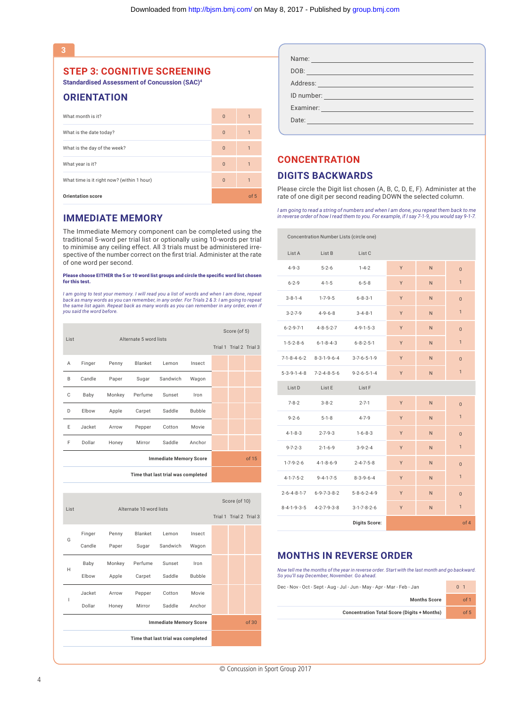**STEP 3: COGNITIVE SCREENING Standardised Assessment of Concussion (SAC)4**

# **ORIENTATION**

| $\Omega$ | 1            |
|----------|--------------|
| $\Omega$ | 1            |
| $\Omega$ | 1            |
| $\Omega$ | 1            |
| $\Omega$ | $\mathbf{1}$ |
|          | of 5         |
|          |              |

# **IMMEDIATE MEMORY**

The Immediate Memory component can be completed using the traditional 5-word per trial list or optionally using 10-words per trial to minimise any ceiling effect. All 3 trials must be administered irrespective of the number correct on the first trial. Administer at the rate of one word per second.

#### Please choose EITHER the 5 or 10 word list groups and circle the specific word list chosen for this test.

*I am going to test your memory. I will read you a list of words and when I am done, repeat back as many words as you can remember, in any order. For Trials 2 & 3: I am going to repeat the same list again. Repeat back as many words as you can remember in any order, even if you said the word before.*

| List                               | Alternate 5 word lists        |        |         |                         |               |  | Score (of 5) |       |
|------------------------------------|-------------------------------|--------|---------|-------------------------|---------------|--|--------------|-------|
|                                    |                               |        |         | Trial 1 Trial 2 Trial 3 |               |  |              |       |
| Α                                  | Finger                        | Penny  | Blanket | Lemon                   | Insect        |  |              |       |
| B                                  | Candle                        | Paper  | Sugar   | Sandwich                | Wagon         |  |              |       |
| C                                  | Baby                          | Monkey | Perfume | Sunset                  | Iron          |  |              |       |
| D                                  | Elbow                         | Apple  | Carpet  | Saddle                  | <b>Bubble</b> |  |              |       |
| E                                  | Jacket                        | Arrow  | Pepper  | Cotton                  | Movie         |  |              |       |
| F                                  | Dollar                        | Honey  | Mirror  | Saddle                  | Anchor        |  |              |       |
|                                    | <b>Immediate Memory Score</b> |        |         |                         |               |  |              | of 15 |
| Time that last trial was completed |                               |        |         |                         |               |  |              |       |

| List |                               |        |         |                                    | Score (of 10) |  |                         |       |
|------|-------------------------------|--------|---------|------------------------------------|---------------|--|-------------------------|-------|
|      | Alternate 10 word lists       |        |         |                                    |               |  | Trial 1 Trial 2 Trial 3 |       |
| G    | Finger                        | Penny  | Blanket | Lemon                              | Insect        |  |                         |       |
|      | Candle                        | Paper  | Sugar   | Sandwich                           | Wagon         |  |                         |       |
| Н    | Baby                          | Monkey | Perfume | Sunset                             | Iron          |  |                         |       |
|      | Elbow                         | Apple  | Carpet  | Saddle                             | Bubble        |  |                         |       |
| ı    | Jacket                        | Arrow  | Pepper  | Cotton                             | Movie         |  |                         |       |
|      | Dollar                        | Honey  | Mirror  | Saddle                             | Anchor        |  |                         |       |
|      | <b>Immediate Memory Score</b> |        |         |                                    |               |  |                         | of 30 |
|      |                               |        |         | Time that last trial was completed |               |  |                         |       |

| Name:                                                                                                                                                                                                                                 |                                                                                                                       |
|---------------------------------------------------------------------------------------------------------------------------------------------------------------------------------------------------------------------------------------|-----------------------------------------------------------------------------------------------------------------------|
| the control of the control of the control of the control of the control of the control of the control of the control of the control of the control of the control of the control of the control of the control of the control<br>DOB: |                                                                                                                       |
| <u> 1989 - Johann John Stein, markin fan it ferstjer fan it ferstjer fan it ferstjer fan it ferstjer fan it fers</u>                                                                                                                  |                                                                                                                       |
| Address: No. 1996. The Manual Manual Manual Manual Manual Manual Manual Manual Manual Manual Manual Manual Manual Ma                                                                                                                  |                                                                                                                       |
| ID number:                                                                                                                                                                                                                            | <u> 1989 - Johann Barn, mars eta inperiodoren erroman erroman erroman erroman erroman erroman erroman erroman err</u> |
| Examiner:                                                                                                                                                                                                                             |                                                                                                                       |
| Date:                                                                                                                                                                                                                                 |                                                                                                                       |

# **CONCENTRATION**

# **DIGITS BACKWARDS**

Please circle the Digit list chosen (A, B, C, D, E, F). Administer at the rate of one digit per second reading DOWN the selected column.

*I am going to read a string of numbers and when I am done, you repeat them back to me in reverse order of how I read them to you. For example, if I say 7-1-9, you would say 9-1-7.*

| Concentration Number Lists (circle one) |                         |                         |   |   |                |
|-----------------------------------------|-------------------------|-------------------------|---|---|----------------|
| List A                                  | List B                  | List <sub>C</sub>       |   |   |                |
| $4 - 9 - 3$                             | $5 - 2 - 6$             | $1 - 4 - 2$             | Y | N | $\overline{0}$ |
| $6 - 2 - 9$                             | $4 - 1 - 5$             | $6 - 5 - 8$             | Y | N | $\mathbf{1}$   |
| $3 - 8 - 1 - 4$                         | $1 - 7 - 9 - 5$         | $6 - 8 - 3 - 1$         | Y | N | $\Omega$       |
| $3 - 2 - 7 - 9$                         | $4 - 9 - 6 - 8$         | $3 - 4 - 8 - 1$         | Y | N | $\mathbf{1}$   |
| $6 - 2 - 9 - 7 - 1$                     | $4 - 8 - 5 - 2 - 7$     | $4 - 9 - 1 - 5 - 3$     | Y | N | $\overline{0}$ |
| $1 - 5 - 2 - 8 - 6$                     | $6 - 1 - 8 - 4 - 3$     | $6 - 8 - 2 - 5 - 1$     | Y | N | $\mathbf{1}$   |
| 7-1-8-4-6-2                             | $8 - 3 - 1 - 9 - 6 - 4$ | $3 - 7 - 6 - 5 - 1 - 9$ | Y | N | $\overline{0}$ |
| $5 - 3 - 9 - 1 - 4 - 8$                 | $7 - 2 - 4 - 8 - 5 - 6$ | $9 - 2 - 6 - 5 - 1 - 4$ | Y | N | $\mathbf{1}$   |
| List D                                  | List E                  | List F                  |   |   |                |
| $7 - 8 - 2$                             | $3 - 8 - 2$             | $2 - 7 - 1$             | Y | N | $\overline{0}$ |
| $9 - 2 - 6$                             | $5 - 1 - 8$             | $4 - 7 - 9$             | Y | N | $\mathbf{1}$   |
| $4 - 1 - 8 - 3$                         | $2 - 7 - 9 - 3$         | $1 - 6 - 8 - 3$         | Y | N | $\Omega$       |
| $9 - 7 - 2 - 3$                         | $2 - 1 - 6 - 9$         | $3 - 9 - 2 - 4$         | Y | N | $\mathbf{1}$   |
| $1 - 7 - 9 - 2 - 6$                     | $4 - 1 - 8 - 6 - 9$     | $2 - 4 - 7 - 5 - 8$     | Y | N | $\Omega$       |
| $4 - 1 - 7 - 5 - 2$                     | $9 - 4 - 1 - 7 - 5$     | $8 - 3 - 9 - 6 - 4$     | Y | N | $\mathbf{1}$   |
|                                         | 2-6-4-8-1-7 6-9-7-3-8-2 | $5 - 8 - 6 - 2 - 4 - 9$ | Y | N | $\overline{0}$ |
| $8 - 4 - 1 - 9 - 3 - 5$                 | 4-2-7-9-3-8             | $3 - 1 - 7 - 8 - 2 - 6$ | Y | N | $\mathbf{1}$   |
|                                         |                         | <b>Digits Score:</b>    |   |   | of 4           |

# **MONTHS IN REVERSE ORDER**

*Now tell me the months of the year in reverse order. Start with the last month and go backward. So you'll say December, November. Go ahead.*

| Dec - Nov - Oct - Sept - Aug - Jul - Jun - May - Apr - Mar - Feb - Jan |      |
|------------------------------------------------------------------------|------|
| <b>Months Score</b>                                                    | of 1 |
| <b>Concentration Total Score (Digits + Months)</b>                     | of 5 |
|                                                                        |      |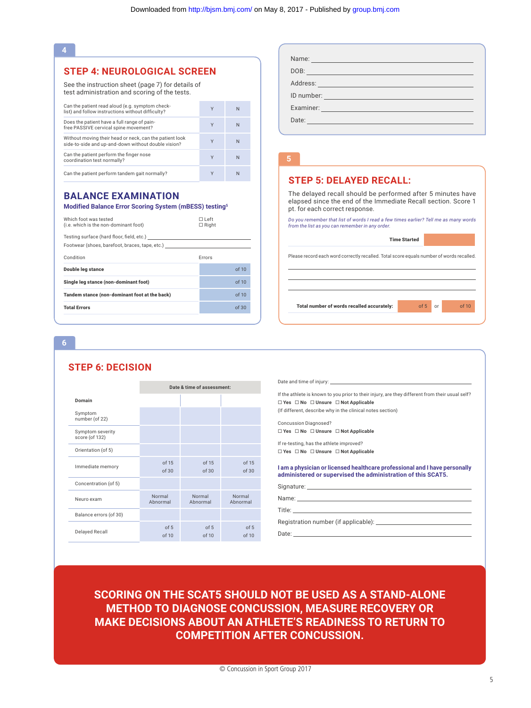#### **4**

# **STEP 4: NEUROLOGICAL SCREEN**

See the instruction sheet (page 7) for details of test administration and scoring of the tests.

| Can the patient read aloud (e.g. symptom check-<br>list) and follow instructions without difficulty?           | γ | N |
|----------------------------------------------------------------------------------------------------------------|---|---|
| Does the patient have a full range of pain-<br>free PASSIVE cervical spine movement?                           | V | N |
| Without moving their head or neck, can the patient look<br>side-to-side and up-and-down without double vision? | v | N |
| Can the patient perform the finger nose<br>coordination test normally?                                         | V | N |
| Can the patient perform tandem gait normally?                                                                  | v | N |

## **BALANCE EXAMINATION**

## **Modified Balance Error Scoring System (mBESS) testing5**

| Which foot was tested<br>(i.e. which is the non-dominant foot)                              | □ Left<br>$\Box$ Right |       |
|---------------------------------------------------------------------------------------------|------------------------|-------|
| Testing surface (hard floor, field, etc.)<br>Footwear (shoes, barefoot, braces, tape, etc.) |                        |       |
| Condition                                                                                   | Errors                 |       |
| <b>Double leg stance</b>                                                                    |                        | of 10 |
| Single leg stance (non-dominant foot)                                                       |                        | of 10 |
| Tandem stance (non-dominant foot at the back)                                               |                        | of 10 |
| <b>Total Errors</b>                                                                         |                        | of 30 |
|                                                                                             |                        |       |

# Name: DOB: Address: ID number: Examiner: William School and Communication of the Communication of the Communication of the Communication of the Communication of the Communication of the Communication of the Communication of the Communication of the Comm Date:

## **STEP 5: DELAYED RECALL:**

The delayed recall should be performed after 5 minutes have elapsed since the end of the Immediate Recall section. Score 1 pt. for each correct response.

*Do you remember that list of words I read a few times earlier? Tell me as many words from the list as you can remember in any order.*

|                                                                                          | <b>Time Started</b> |    |       |
|------------------------------------------------------------------------------------------|---------------------|----|-------|
| Please record each word correctly recalled. Total score equals number of words recalled. |                     |    |       |
|                                                                                          |                     |    |       |
|                                                                                          |                     |    |       |
| Total number of words recalled accurately:                                               | of 5                | or | of 10 |

# **STEP 6: DECISION**

|                                    | Date & time of assessment: |                    |                    |
|------------------------------------|----------------------------|--------------------|--------------------|
| Domain                             |                            |                    |                    |
| Symptom<br>number (of 22)          |                            |                    |                    |
| Symptom severity<br>score (of 132) |                            |                    |                    |
| Orientation (of 5)                 |                            |                    |                    |
| Immediate memory                   | of 15<br>of 30             | of 15<br>of 30     | of 15<br>of 30     |
| Concentration (of 5)               |                            |                    |                    |
| Neuro exam                         | Normal<br>Abnormal         | Normal<br>Abnormal | Normal<br>Abnormal |
| Balance errors (of 30)             |                            |                    |                    |
| <b>Delayed Recall</b>              | of 5<br>of 10              | of 5<br>of 10      | of 5<br>of 10      |

| If the athlete is known to you prior to their injury, are they different from their usual self?<br>$\Box$ Yes $\Box$ No $\Box$ Unsure $\Box$ Not Applicable<br>(If different, describe why in the clinical notes section) |
|---------------------------------------------------------------------------------------------------------------------------------------------------------------------------------------------------------------------------|
| <b>Concussion Diagnosed?</b><br>$\Box$ Yes $\Box$ No $\Box$ Unsure $\Box$ Not Applicable                                                                                                                                  |
| If re-testing, has the athlete improved?<br>$\Box$ Yes $\Box$ No $\Box$ Unsure $\Box$ Not Applicable                                                                                                                      |
| I am a physician or licensed healthcare professional and I have personally<br>administered or supervised the administration of this SCAT5.                                                                                |
|                                                                                                                                                                                                                           |
|                                                                                                                                                                                                                           |
| Title <sup>.</sup>                                                                                                                                                                                                        |

Registration number (if applicable):

Date:

**SCORING ON THE SCAT5 SHOULD NOT BE USED AS A STAND-ALONE METHOD TO DIAGNOSE CONCUSSION, MEASURE RECOVERY OR MAKE DECISIONS ABOUT AN ATHLETE'S READINESS TO RETURN TO COMPETITION AFTER CONCUSSION.**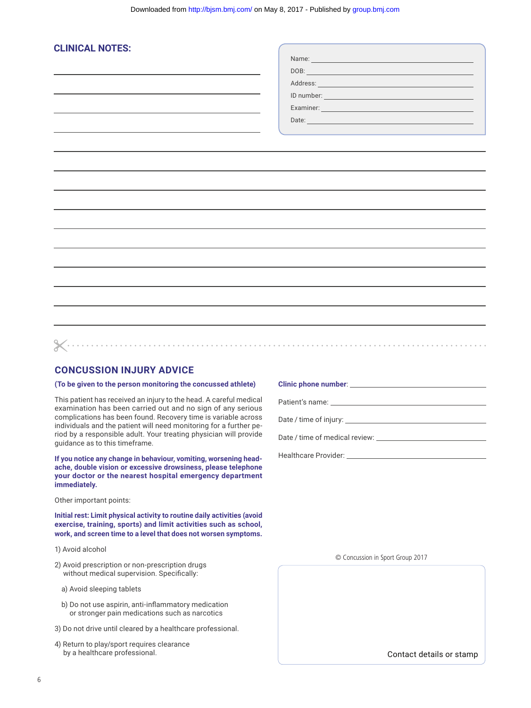| <b>CLINICAL NOTES:</b> |                                                                                                      |  |
|------------------------|------------------------------------------------------------------------------------------------------|--|
|                        |                                                                                                      |  |
|                        | DOB: <u>Andrea Communication of the Communication</u>                                                |  |
|                        | Address: Address: Address: Address: Address: Address: Address: Address: Address: Address: Address: A |  |
|                        | ID number: <u>www.common.common.common.com</u>                                                       |  |
|                        |                                                                                                      |  |
|                        |                                                                                                      |  |
|                        |                                                                                                      |  |
|                        |                                                                                                      |  |
|                        |                                                                                                      |  |
|                        |                                                                                                      |  |
|                        |                                                                                                      |  |
|                        |                                                                                                      |  |
|                        |                                                                                                      |  |
|                        |                                                                                                      |  |
|                        |                                                                                                      |  |
|                        |                                                                                                      |  |
|                        |                                                                                                      |  |
|                        |                                                                                                      |  |
|                        |                                                                                                      |  |
|                        |                                                                                                      |  |
|                        |                                                                                                      |  |
|                        |                                                                                                      |  |
|                        |                                                                                                      |  |
|                        |                                                                                                      |  |
|                        |                                                                                                      |  |
|                        |                                                                                                      |  |

# **CONCUSSION INJURY ADVICE**

## **(To be given to the person monitoring the concussed athlete)**

This patient has received an injury to the head. A careful medical examination has been carried out and no sign of any serious complications has been found. Recovery time is variable across individuals and the patient will need monitoring for a further period by a responsible adult. Your treating physician will provide guidance as to this timeframe.

**If you notice any change in behaviour, vomiting, worsening headache, double vision or excessive drowsiness, please telephone your doctor or the nearest hospital emergency department immediately.**

Other important points:

**Initial rest: Limit physical activity to routine daily activities (avoid exercise, training, sports) and limit activities such as school, work, and screen time to a level that does not worsen symptoms.**

- 1) Avoid alcohol
- 2) Avoid prescription or non-prescription drugs without medical supervision. Specifically:
	- a) Avoid sleeping tablets
	- b) Do not use aspirin, anti-inflammatory medication or stronger pain medications such as narcotics
- 3) Do not drive until cleared by a healthcare professional.
- 4) Return to play/sport requires clearance by a healthcare professional.

**Clinic phone number**: Patient's name: Date / time of injury:

Date / time of medical review:

Healthcare Provider:

© Concussion in Sport Group 2017

Contact details or stamp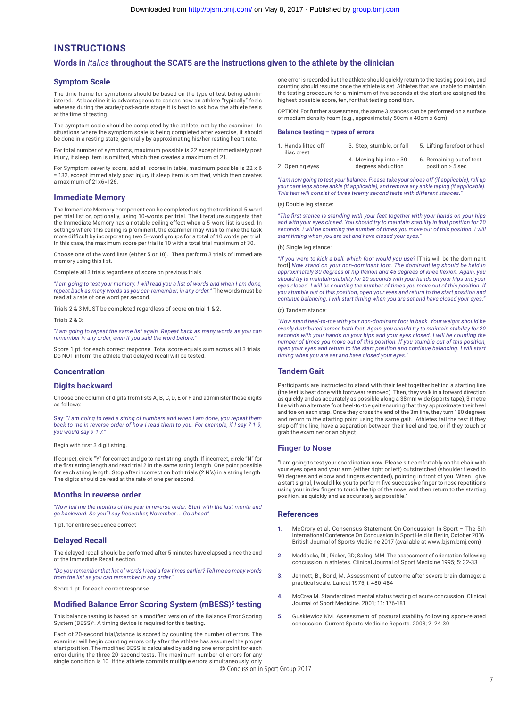# **INSTRUCTIONS**

## **Words in** *Italics* **throughout the SCAT5 are the instructions given to the athlete by the clinician**

## **Symptom Scale**

The time frame for symptoms should be based on the type of test being administered. At baseline it is advantageous to assess how an athlete "typically" feels whereas during the acute/post-acute stage it is best to ask how the athlete feels at the time of testing.

The symptom scale should be completed by the athlete, not by the examiner. In situations where the symptom scale is being completed after exercise, it should be done in a resting state, generally by approximating his/her resting heart rate.

For total number of symptoms, maximum possible is 22 except immediately post injury, if sleep item is omitted, which then creates a maximum of 21.

For Symptom severity score, add all scores in table, maximum possible is 22 x 6 = 132, except immediately post injury if sleep item is omitted, which then creates a maximum of 21x6=126.

## **Immediate Memory**

The Immediate Memory component can be completed using the traditional 5-word per trial list or, optionally, using 10-words per trial. The literature suggests that the Immediate Memory has a notable ceiling effect when a 5-word list is used. In settings where this ceiling is prominent, the examiner may wish to make the task more difficult by incorporating two 5–word groups for a total of 10 words per trial. In this case, the maximum score per trial is 10 with a total trial maximum of 30.

Choose one of the word lists (either 5 or 10). Then perform 3 trials of immediate memory using this list.

Complete all 3 trials regardless of score on previous trials.

*"I am going to test your memory. I will read you a list of words and when I am done, repeat back as many words as you can remember, in any order."* The words must be read at a rate of one word per second.

Trials 2 & 3 MUST be completed regardless of score on trial 1 & 2.

Trials 2 & 3:

*"I am going to repeat the same list again. Repeat back as many words as you can remember in any order, even if you said the word before."*

Score 1 pt. for each correct response. Total score equals sum across all 3 trials. Do NOT inform the athlete that delayed recall will be tested.

#### **Concentration**

## **Digits backward**

Choose one column of digits from lists A, B, C, D, E or F and administer those digits as follows:

Say: *"I am going to read a string of numbers and when I am done, you repeat them back to me in reverse order of how I read them to you. For example, if I say 7-1-9, you would say 9-1-7."* 

Begin with first 3 digit string.

If correct, circle "Y" for correct and go to next string length. If incorrect, circle "N" for the first string length and read trial 2 in the same string length. One point possible for each string length. Stop after incorrect on both trials (2 N's) in a string length. The digits should be read at the rate of one per second.

#### **Months in reverse order**

*"Now tell me the months of the year in reverse order. Start with the last month and go backward. So you'll say December, November ... Go ahead"*

1 pt. for entire sequence correct

## **Delayed Recall**

The delayed recall should be performed after 5 minutes have elapsed since the end of the Immediate Recall section.

*"Do you remember that list of words I read a few times earlier? Tell me as many words from the list as you can remember in any order."* 

Score 1 pt. for each correct response

## **Modified Balance Error Scoring System (mBESS)5 testing**

This balance testing is based on a modified version of the Balance Error Scoring System (BESS)<sup>5</sup>. A timing device is required for this testing.

Each of 20-second trial/stance is scored by counting the number of errors. The examiner will begin counting errors only after the athlete has assumed the proper start position. The modified BESS is calculated by adding one error point for each error during the three 20-second tests. The maximum number of errors for any single condition is 10. If the athlete commits multiple errors simultaneously, only

one error is recorded but the athlete should quickly return to the testing position, and counting should resume once the athlete is set. Athletes that are unable to maintain the testing procedure for a minimum of five seconds at the start are assigned the highest possible score, ten, for that testing condition.

OPTION: For further assessment, the same 3 stances can be performed on a surface of medium density foam (e.g., approximately 50cm x 40cm x 6cm).

#### **Balance testing – types of errors**

| 1. Hands lifted off<br>iliac crest | 3. Step, stumble, or fall                    | 5. Lifting forefoot or heel                  |  |  |
|------------------------------------|----------------------------------------------|----------------------------------------------|--|--|
| 2. Opening eyes                    | 4. Moving hip into > 30<br>degrees abduction | 6. Remaining out of test<br>position > 5 sec |  |  |

*"I am now going to test your balance. Please take your shoes off (if applicable), roll up your pant legs above ankle (if applicable), and remove any ankle taping (if applicable). This test will consist of three twenty second tests with different stances."*

## (a) Double leg stance:

*"The first stance is standing with your feet together with your hands on your hips*  and with your eyes closed. You should try to maintain stability in that position for 20<br>seconds. I will be counting the number of times you move out of this position. I will *start timing when you are set and have closed your eyes."*

#### (b) Single leg stance:

*"If you were to kick a ball, which foot would you use?* [This will be the dominant foot] Now stand on your non-dominant foot. The dominant leg should be held in<br>approximately 30 degrees of hip flexion and 45 degrees of knee flexion. Again, you<br>should try to maintain stability for 20 seconds with your han **eyes closed.** I will be counting the number of times you move out of this position. If *you stumble out of this position, open your eyes and return to the start position and continue balancing. I will start timing when you are set and have closed your eyes."* 

### (c) Tandem stance:

*"Now stand heel-to-toe with your non-dominant foot in back. Your weight should be evenly distributed across both feet. Again, you should try to maintain stability for 20 seconds with your hands on your hips and your eyes closed. I will be counting the number of times you move out of this position. If you stumble out of this position, open your eyes and return to the start position and continue balancing. I will start timing when you are set and have closed your eyes."*

## **Tandem Gait**

Participants are instructed to stand with their feet together behind a starting line (the test is best done with footwear removed). Then, they walk in a forward direction as quickly and as accurately as possible along a 38mm wide (sports tape), 3 metre line with an alternate foot heel-to-toe gait ensuring that they approximate their heel and toe on each step. Once they cross the end of the 3m line, they turn 180 degrees and return to the starting point using the same gait. Athletes fail the test if they step off the line, have a separation between their heel and toe, or if they touch or grab the examiner or an object.

#### **Finger to Nose**

"I am going to test your coordination now. Please sit comfortably on the chair with your eyes open and your arm (either right or left) outstretched (shoulder flexed to 90 degrees and elbow and fingers extended), pointing in front of you. When I give a start signal, I would like you to perform five successive finger to nose repetitions using your index finger to touch the tip of the nose, and then return to the starting position, as quickly and as accurately as possible."

## **References**

- **1.** McCrory et al. Consensus Statement On Concussion In Sport The 5th International Conference On Concussion In Sport Held In Berlin, October 2016. British Journal of Sports Medicine 2017 (available at www.bjsm.bmj.com)
- **2.** Maddocks, DL; Dicker, GD; Saling, MM. The assessment of orientation following concussion in athletes. Clinical Journal of Sport Medicine 1995; 5: 32-33
- **3.** Jennett, B., Bond, M. Assessment of outcome after severe brain damage: a practical scale. Lancet 1975; i: 480-484
- **4.** McCrea M. Standardized mental status testing of acute concussion. Clinical Journal of Sport Medicine. 2001; 11: 176-181
- **5.** Guskiewicz KM. Assessment of postural stability following sport-related concussion. Current Sports Medicine Reports. 2003; 2: 24-30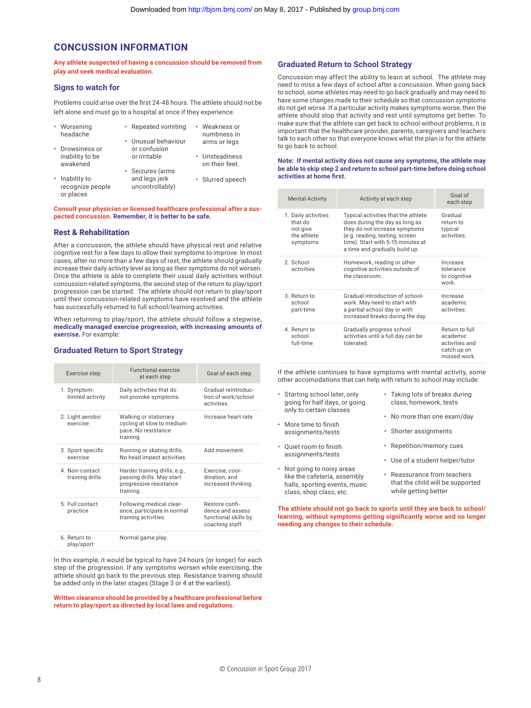# **CONCUSSION INFORMATION**

**Any athlete suspected of having a concussion should be removed from play and seek medical evaluation.**

## **Signs to watch for**

Problems could arise over the first 24-48 hours. The athlete should not be left alone and must go to a hospital at once if they experience:

| • Worsening<br>headache            | • Repeated vomiting              | Weakness or<br>numbness in       |
|------------------------------------|----------------------------------|----------------------------------|
|                                    | • Unusual behaviour              | arms or legs                     |
| Drowsiness or                      | or confusion                     |                                  |
| inability to be<br>awakened        | or irritable                     | • Unsteadiness<br>on their feet. |
|                                    | · Seizures (arms                 |                                  |
| · Inability to<br>recognize people | and legs jerk<br>uncontrollably) | · Slurred speech                 |

**Consult your physician or licensed healthcare professional after a suspected concussion. Remember, it is better to be safe.**

## **Rest & Rehabilitation**

or places

After a concussion, the athlete should have physical rest and relative cognitive rest for a few days to allow their symptoms to improve. In most cases, after no more than a few days of rest, the athlete should gradually increase their daily activity level as long as their symptoms do not worsen. Once the athlete is able to complete their usual daily activities without concussion-related symptoms, the second step of the return to play/sport progression can be started. The athlete should not return to play/sport until their concussion-related symptoms have resolved and the athlete has successfully returned to full school/learning activities.

When returning to play/sport, the athlete should follow a stepwise, **medically managed exercise progression, with increasing amounts of exercise.** For example:

## **Graduated Return to Sport Strategy**

|  | Exercise step                    | <b>Functional exercise</b><br>at each step                                                        | Goal of each step                                                             |
|--|----------------------------------|---------------------------------------------------------------------------------------------------|-------------------------------------------------------------------------------|
|  | 1. Symptom-<br>limited activity  | Daily activities that do<br>not provoke symptoms.                                                 | Gradual reintroduc-<br>tion of work/school<br>activities.                     |
|  | 2. Light aerobic<br>exercise     | Walking or stationary<br>cycling at slow to medium<br>pace. No resistance<br>training.            | Increase heart rate.                                                          |
|  | 3. Sport-specific<br>exercise    | Running or skating drills.<br>No head impact activities.                                          | Add movement.                                                                 |
|  | 4 Non-contact<br>training drills | Harder training drills, e.g.,<br>passing drills. May start<br>progressive resistance<br>training. | Exercise, coor-<br>dination, and<br>increased thinking.                       |
|  | 5. Full contact<br>practice      | Following medical clear-<br>ance, participate in normal<br>training activities.                   | Restore confi-<br>dence and assess<br>functional skills by<br>coaching staff. |
|  | 6. Return to<br>play/sport       | Normal game play.                                                                                 |                                                                               |

In this example, it would be typical to have 24 hours (or longer) for each step of the progression. If any symptoms worsen while exercising, the athlete should go back to the previous step. Resistance training should be added only in the later stages (Stage 3 or 4 at the earliest).

**Written clearance should be provided by a healthcare professional before return to play/sport as directed by local laws and regulations.**

## **Graduated Return to School Strategy**

Concussion may affect the ability to learn at school. The athlete may need to miss a few days of school after a concussion. When going back to school, some athletes may need to go back gradually and may need to have some changes made to their schedule so that concussion symptoms do not get worse. If a particular activity makes symptoms worse, then the athlete should stop that activity and rest until symptoms get better. To make sure that the athlete can get back to school without problems, it is important that the healthcare provider, parents, caregivers and teachers talk to each other so that everyone knows what the plan is for the athlete to go back to school.

## **Note: If mental activity does not cause any symptoms, the athlete may be able to skip step 2 and return to school part-time before doing school activities at home first.**

| <b>Mental Activity</b>                                                | Activity at each step                                                                                                                                                                                           | Goal of<br>each step                                                        |
|-----------------------------------------------------------------------|-----------------------------------------------------------------------------------------------------------------------------------------------------------------------------------------------------------------|-----------------------------------------------------------------------------|
| 1. Daily activities<br>that do<br>not give<br>the athlete<br>symptoms | Typical activities that the athlete<br>does during the day as long as<br>they do not increase symptoms<br>(e.g. reading, texting, screen<br>time). Start with 5-15 minutes at<br>a time and gradually build up. | Gradual<br>return to<br>typical<br>activities.                              |
| 2. School<br>activities                                               | Homework, reading or other<br>cognitive activities outside of<br>the classroom.                                                                                                                                 | Increase<br>tolerance<br>to cognitive<br>work.                              |
| 3 Return to<br>school<br>part-time                                    | Gradual introduction of school-<br>work. May need to start with<br>a partial school day or with<br>increased breaks during the day.                                                                             | Increase<br>academic<br>activities.                                         |
| 4. Return to<br>school<br>full-time                                   | Gradually progress school<br>activities until a full day can be<br>tolerated.                                                                                                                                   | Return to full<br>academic<br>activities and<br>catch up on<br>missed work. |

If the athlete continues to have symptoms with mental activity, some other accomodations that can help with return to school may include:

- Starting school later, only going for half days, or going only to certain classes • Taking lots of breaks during
- More time to finish assignments/tests
- Quiet room to finish assignments/tests
- Not going to noisy areas like the cafeteria, assembly halls, sporting events, music class, shop class, etc.
- class, homework, tests
- No more than one exam/day
- Shorter assignments
- Repetition/memory cues
- Use of a student helper/tutor
- Reassurance from teachers that the child will be supported while getting better

**The athlete should not go back to sports until they are back to school/ learning, without symptoms getting significantly worse and no longer needing any changes to their schedule.**